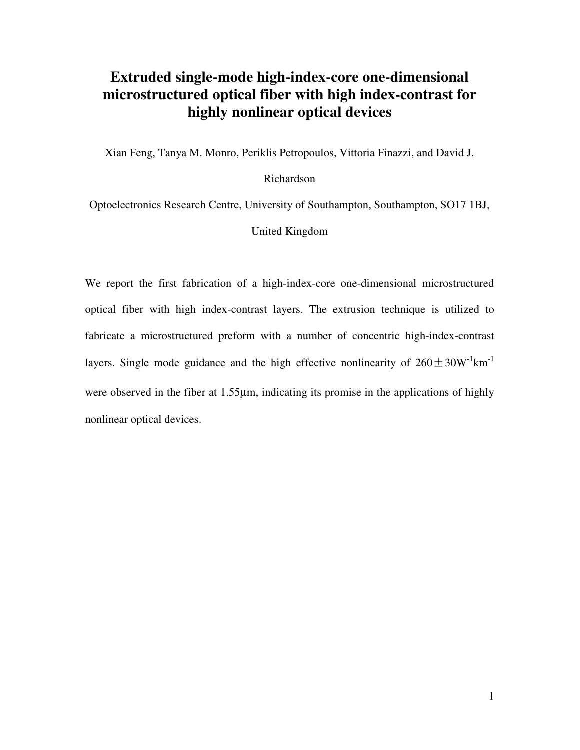### **Extruded single-mode high-index-core one-dimensional microstructured optical fiber with high index-contrast for highly nonlinear optical devices**

Xian Feng, Tanya M. Monro, Periklis Petropoulos, Vittoria Finazzi, and David J.

#### Richardson

Optoelectronics Research Centre, University of Southampton, Southampton, SO17 1BJ,

United Kingdom

We report the first fabrication of a high-index-core one-dimensional microstructured optical fiber with high index-contrast layers. The extrusion technique is utilized to fabricate a microstructured preform with a number of concentric high-index-contrast fabricate a microstructured preform with a number of concentric high-index-contrast<br>layers. Single mode guidance and the high effective nonlinearity of  $260 \pm 30W^{-1}km^{-1}$ were observed in the fiber at 1.55µm, indicating its promise in the applications of highly nonlinear optical devices.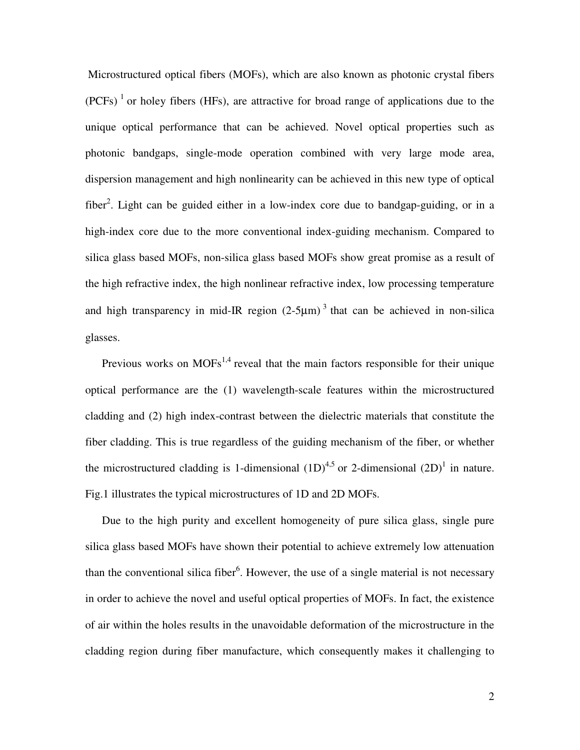Microstructured optical fibers (MOFs), which are also known as photonic crystal fibers  $(PCFs)^1$  or holey fibers (HFs), are attractive for broad range of applications due to the unique optical performance that can be achieved. Novel optical properties such as photonic bandgaps, single-mode operation combined with very large mode area, dispersion management and high nonlinearity can be achieved in this new type of optical fiber<sup>2</sup>. Light can be guided either in a low-index core due to bandgap-guiding, or in a high-index core due to the more conventional index-guiding mechanism. Compared to silica glass based MOFs, non-silica glass based MOFs show great promise as a result of the high refractive index, the high nonlinear refractive index, low processing temperature and high transparency in mid-IR region  $(2-5\mu m)^3$  that can be achieved in non-silica glasses.

Previous works on  $MOFs<sup>1,4</sup>$  reveal that the main factors responsible for their unique optical performance are the (1) wavelength-scale features within the microstructured cladding and (2) high index-contrast between the dielectric materials that constitute the fiber cladding. This is true regardless of the guiding mechanism of the fiber, or whether the microstructured cladding is 1-dimensional  $(1D)^{4,5}$  or 2-dimensional  $(2D)^{1}$  in nature. Fig.1 illustrates the typical microstructures of 1D and 2D MOFs.

Due to the high purity and excellent homogeneity of pure silica glass, single pure silica glass based MOFs have shown their potential to achieve extremely low attenuation than the conventional silica fiber<sup>6</sup>. However, the use of a single material is not necessary in order to achieve the novel and useful optical properties of MOFs. In fact, the existence of air within the holes results in the unavoidable deformation of the microstructure in the cladding region during fiber manufacture, which consequently makes it challenging to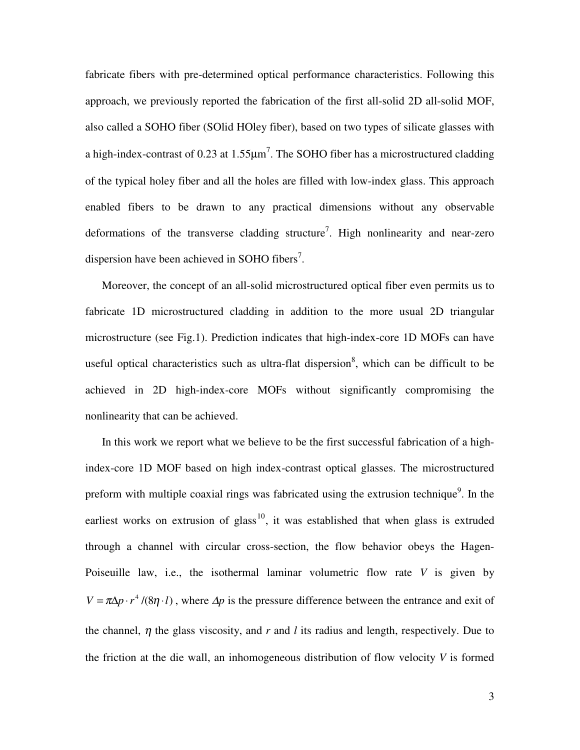fabricate fibers with pre-determined optical performance characteristics. Following this approach, we previously reported the fabrication of the first all-solid 2D all-solid MOF, also called a SOHO fiber (SOlid HOley fiber), based on two types of silicate glasses with a high-index-contrast of 0.23 at 1.55 $\mu$ m<sup>7</sup>. The SOHO fiber has a microstructured cladding of the typical holey fiber and all the holes are filled with low-index glass. This approach enabled fibers to be drawn to any practical dimensions without any observable deformations of the transverse cladding structure<sup>7</sup>. High nonlinearity and near-zero dispersion have been achieved in SOHO fibers<sup>7</sup>.

Moreover, the concept of an all-solid microstructured optical fiber even permits us to fabricate 1D microstructured cladding in addition to the more usual 2D triangular microstructure (see Fig.1). Prediction indicates that high-index-core 1D MOFs can have useful optical characteristics such as ultra-flat dispersion<sup>8</sup>, which can be difficult to be achieved in 2D high-index-core MOFs without significantly compromising the nonlinearity that can be achieved.

In this work we report what we believe to be the first successful fabrication of a highindex-core 1D MOF based on high index-contrast optical glasses. The microstructured preform with multiple coaxial rings was fabricated using the extrusion technique<sup>9</sup>. In the earliest works on extrusion of glass<sup>10</sup>, it was established that when glass is extruded through a channel with circular cross-section, the flow behavior obeys the Hagen-Poiseuille law, i.e., the isothermal laminar volumetric flow rate *V* is given by  $V = \pi \Delta p \cdot r^4 / (8\eta \cdot l)$ , where  $\Delta p$  is the pressure difference between the entrance and exit of the channel, η the glass viscosity, and *r* and *l* its radius and length, respectively. Due to the friction at the die wall, an inhomogeneous distribution of flow velocity *V* is formed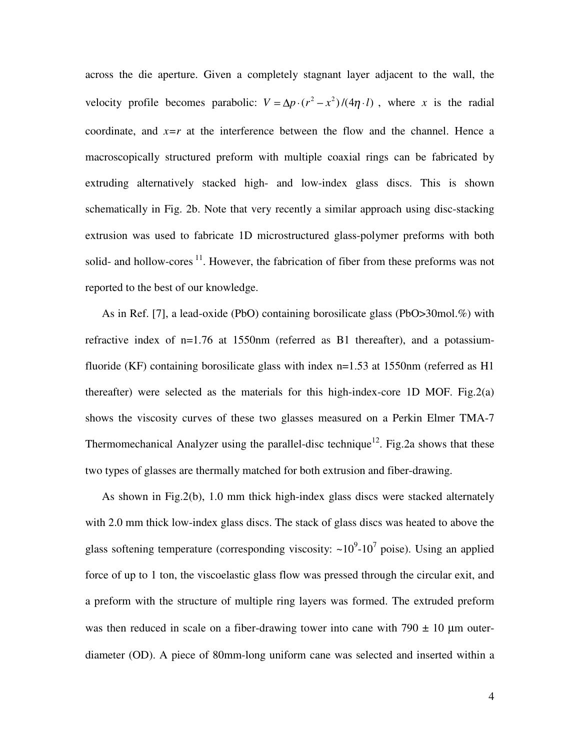across the die aperture. Given a completely stagnant layer adjacent to the wall, the velocity profile becomes parabolic:  $V = \Delta p \cdot (r^2 - x^2)/(4\eta \cdot l)$ , where *x* is the radial coordinate, and  $x=r$  at the interference between the flow and the channel. Hence a macroscopically structured preform with multiple coaxial rings can be fabricated by extruding alternatively stacked high- and low-index glass discs. This is shown schematically in Fig. 2b. Note that very recently a similar approach using disc-stacking extrusion was used to fabricate 1D microstructured glass-polymer preforms with both solid- and hollow-cores  $11$ . However, the fabrication of fiber from these preforms was not reported to the best of our knowledge.

As in Ref. [7], a lead-oxide (PbO) containing borosilicate glass (PbO>30mol.%) with refractive index of n=1.76 at 1550nm (referred as B1 thereafter), and a potassiumfluoride (KF) containing borosilicate glass with index n=1.53 at 1550nm (referred as H1 thereafter) were selected as the materials for this high-index-core 1D MOF. Fig.2(a) shows the viscosity curves of these two glasses measured on a Perkin Elmer TMA-7 Thermomechanical Analyzer using the parallel-disc technique<sup>12</sup>. Fig.2a shows that these two types of glasses are thermally matched for both extrusion and fiber-drawing.

As shown in Fig.2(b), 1.0 mm thick high-index glass discs were stacked alternately with 2.0 mm thick low-index glass discs. The stack of glass discs was heated to above the glass softening temperature (corresponding viscosity:  $\sim 10^9$ - $10^7$  poise). Using an applied force of up to 1 ton, the viscoelastic glass flow was pressed through the circular exit, and a preform with the structure of multiple ring layers was formed. The extruded preform was then reduced in scale on a fiber-drawing tower into cane with 790  $\pm$  10  $\mu$ m outerdiameter (OD). A piece of 80mm-long uniform cane was selected and inserted within a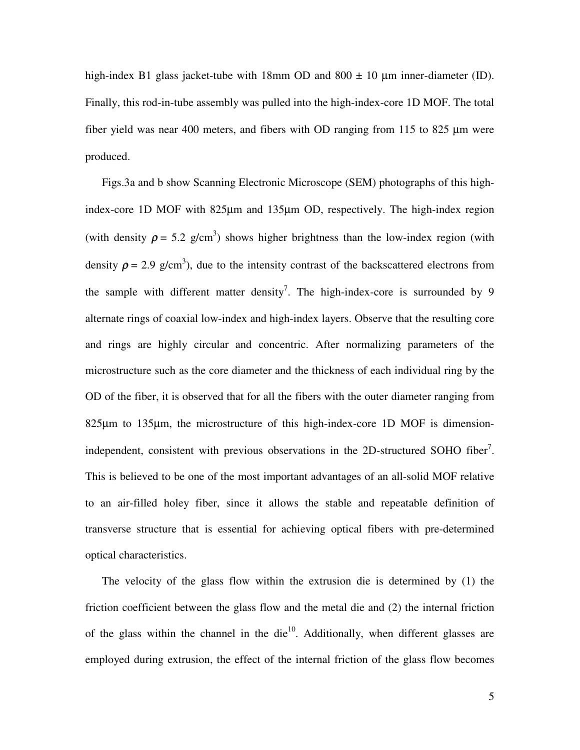high-index B1 glass jacket-tube with 18mm OD and  $800 \pm 10$  µm inner-diameter (ID). Finally, this rod-in-tube assembly was pulled into the high-index-core 1D MOF. The total fiber yield was near 400 meters, and fibers with OD ranging from 115 to  $825 \mu m$  were produced.

Figs.3a and b show Scanning Electronic Microscope (SEM) photographs of this highindex-core 1D MOF with 825µm and 135µm OD, respectively. The high-index region (with density  $\rho = 5.2$  g/cm<sup>3</sup>) shows higher brightness than the low-index region (with density  $\rho = 2.9$  g/cm<sup>3</sup>), due to the intensity contrast of the backscattered electrons from the sample with different matter density<sup>7</sup>. The high-index-core is surrounded by 9 alternate rings of coaxial low-index and high-index layers. Observe that the resulting core and rings are highly circular and concentric. After normalizing parameters of the microstructure such as the core diameter and the thickness of each individual ring by the OD of the fiber, it is observed that for all the fibers with the outer diameter ranging from 825µm to 135µm, the microstructure of this high-index-core 1D MOF is dimensionindependent, consistent with previous observations in the 2D-structured SOHO fiber<sup>7</sup>. This is believed to be one of the most important advantages of an all-solid MOF relative to an air-filled holey fiber, since it allows the stable and repeatable definition of transverse structure that is essential for achieving optical fibers with pre-determined optical characteristics.

The velocity of the glass flow within the extrusion die is determined by (1) the friction coefficient between the glass flow and the metal die and (2) the internal friction of the glass within the channel in the die $10$ . Additionally, when different glasses are employed during extrusion, the effect of the internal friction of the glass flow becomes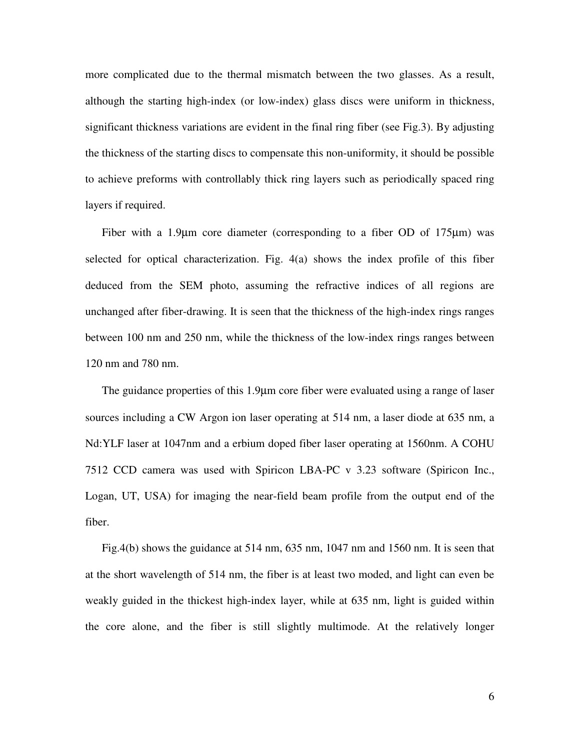more complicated due to the thermal mismatch between the two glasses. As a result, although the starting high-index (or low-index) glass discs were uniform in thickness, significant thickness variations are evident in the final ring fiber (see Fig.3). By adjusting the thickness of the starting discs to compensate this non-uniformity, it should be possible to achieve preforms with controllably thick ring layers such as periodically spaced ring layers if required.

Fiber with a 1.9µm core diameter (corresponding to a fiber OD of 175µm) was selected for optical characterization. Fig. 4(a) shows the index profile of this fiber deduced from the SEM photo, assuming the refractive indices of all regions are unchanged after fiber-drawing. It is seen that the thickness of the high-index rings ranges between 100 nm and 250 nm, while the thickness of the low-index rings ranges between 120 nm and 780 nm.

The guidance properties of this 1.9µm core fiber were evaluated using a range of laser sources including a CW Argon ion laser operating at 514 nm, a laser diode at 635 nm, a Nd:YLF laser at 1047nm and a erbium doped fiber laser operating at 1560nm. A COHU 7512 CCD camera was used with Spiricon LBA-PC v 3.23 software (Spiricon Inc., Logan, UT, USA) for imaging the near-field beam profile from the output end of the fiber.

Fig.4(b) shows the guidance at 514 nm, 635 nm, 1047 nm and 1560 nm. It is seen that at the short wavelength of 514 nm, the fiber is at least two moded, and light can even be weakly guided in the thickest high-index layer, while at 635 nm, light is guided within the core alone, and the fiber is still slightly multimode. At the relatively longer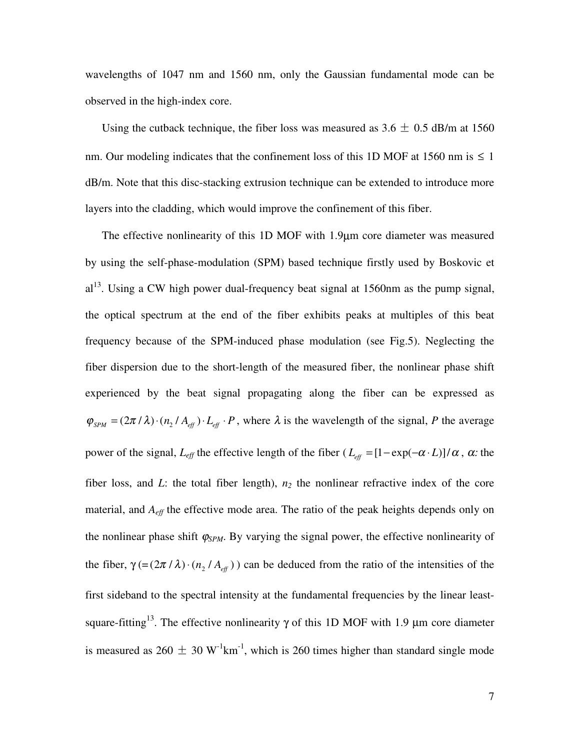wavelengths of 1047 nm and 1560 nm, only the Gaussian fundamental mode can be observed in the high-index core.

Using the cutback technique, the fiber loss was measured as  $3.6 \pm 0.5$  dB/m at 1560 nm. Our modeling indicates that the confinement loss of this 1D MOF at 1560 nm is  $\leq 1$ dB/m. Note that this disc-stacking extrusion technique can be extended to introduce more layers into the cladding, which would improve the confinement of this fiber.

The effective nonlinearity of this 1D MOF with 1.9µm core diameter was measured by using the self-phase-modulation (SPM) based technique firstly used by Boskovic et  $al<sup>13</sup>$ . Using a CW high power dual-frequency beat signal at 1560nm as the pump signal, the optical spectrum at the end of the fiber exhibits peaks at multiples of this beat frequency because of the SPM-induced phase modulation (see Fig.5). Neglecting the fiber dispersion due to the short-length of the measured fiber, the nonlinear phase shift experienced by the beat signal propagating along the fiber can be expressed as  $\varphi_{\text{SPM}} = (2\pi / \lambda) \cdot (n_2 / A_{\text{eff}}) \cdot L_{\text{eff}} \cdot P$ , where  $\lambda$  is the wavelength of the signal, *P* the average power of the signal,  $L_{eff}$  the effective length of the fiber  $(L_{eff} = [1 - \exp(-\alpha \cdot L)]/\alpha$ ,  $\alpha$ : the fiber loss, and  $L$ : the total fiber length),  $n_2$  the nonlinear refractive index of the core material, and *Aeff* the effective mode area. The ratio of the peak heights depends only on the nonlinear phase shift  $\varphi_{SPM}$ . By varying the signal power, the effective nonlinearity of the fiber,  $\gamma$  (=(2 $\pi$  /  $\lambda$ ) · ( $n_2$  /  $A_{\text{eff}}$ )) can be deduced from the ratio of the intensities of the first sideband to the spectral intensity at the fundamental frequencies by the linear leastsquare-fitting<sup>13</sup>. The effective nonlinearity  $\gamma$  of this 1D MOF with 1.9 µm core diameter square-fitting<sup>13</sup>. The effective nonlinearity  $\gamma$  of this 1D MOF with 1.9 µm core diameter<br>is measured as 260  $\pm$  30 W<sup>-1</sup>km<sup>-1</sup>, which is 260 times higher than standard single mode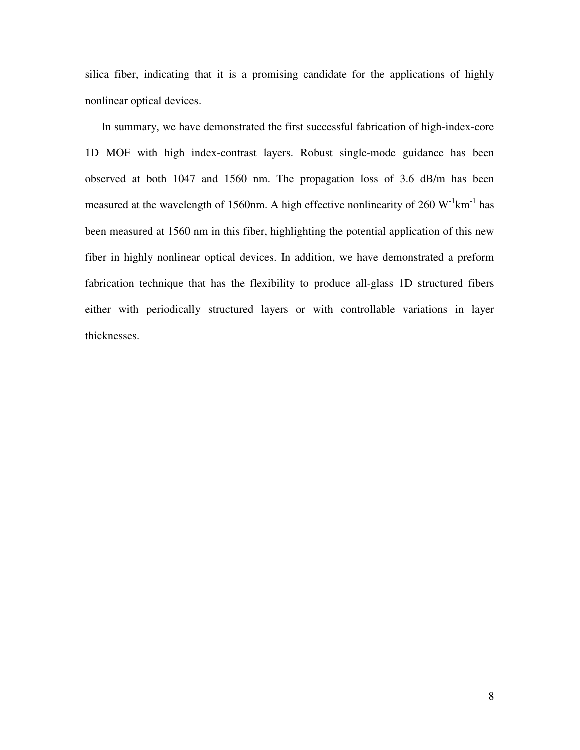silica fiber, indicating that it is a promising candidate for the applications of highly nonlinear optical devices.

In summary, we have demonstrated the first successful fabrication of high-index-core 1D MOF with high index-contrast layers. Robust single-mode guidance has been observed at both 1047 and 1560 nm. The propagation loss of 3.6 dB/m has been measured at the wavelength of 1560nm. A high effective nonlinearity of 260  $W^{-1}km^{-1}$  has been measured at 1560 nm in this fiber, highlighting the potential application of this new fiber in highly nonlinear optical devices. In addition, we have demonstrated a preform fabrication technique that has the flexibility to produce all-glass 1D structured fibers either with periodically structured layers or with controllable variations in layer thicknesses.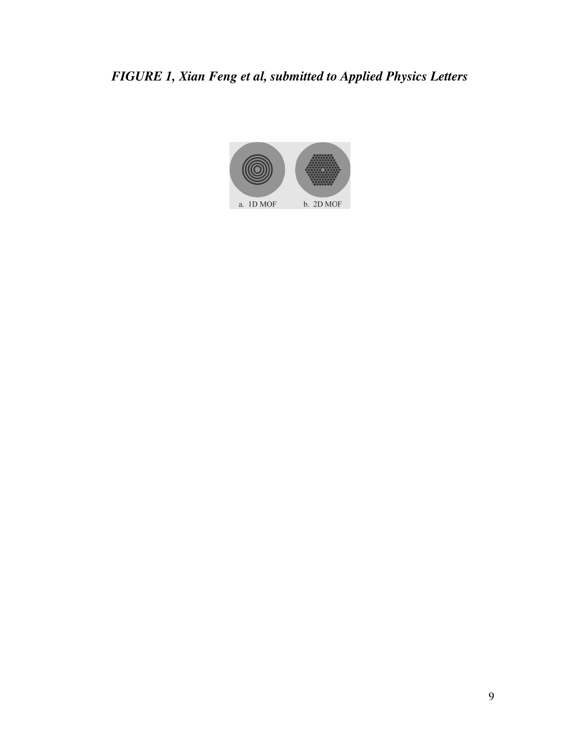# *FIGURE 1, Xian Feng et al, submitted to Applied Physics Letters*

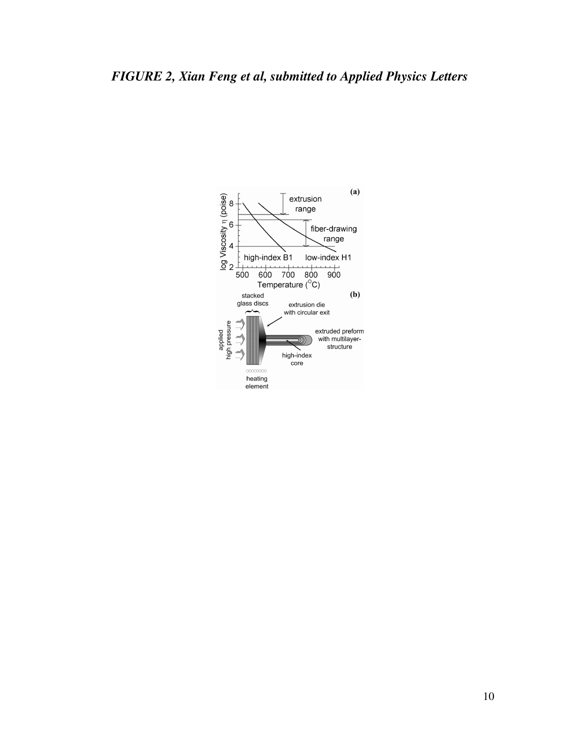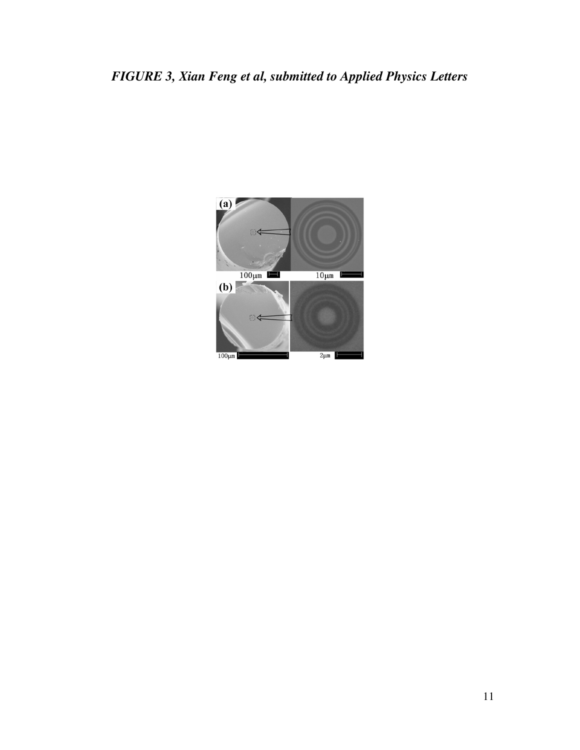## *FIGURE 3, Xian Feng et al, submitted to Applied Physics Letters*

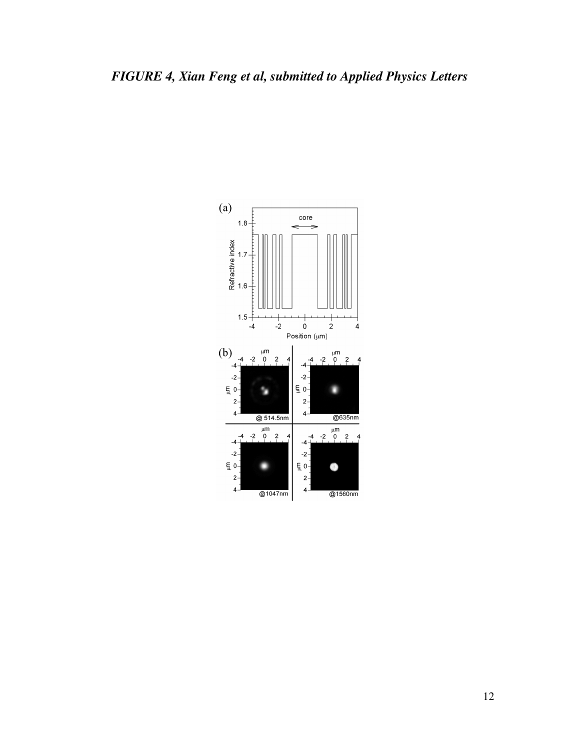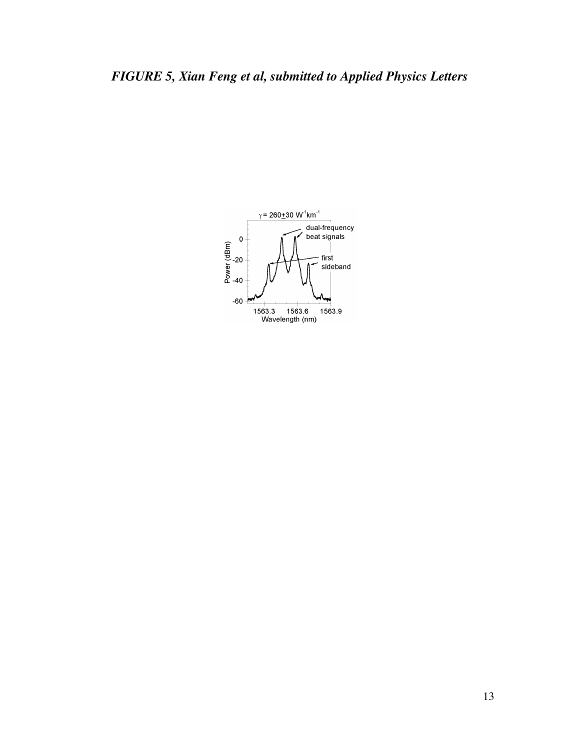## *FIGURE 5, Xian Feng et al, submitted to Applied Physics Letters*

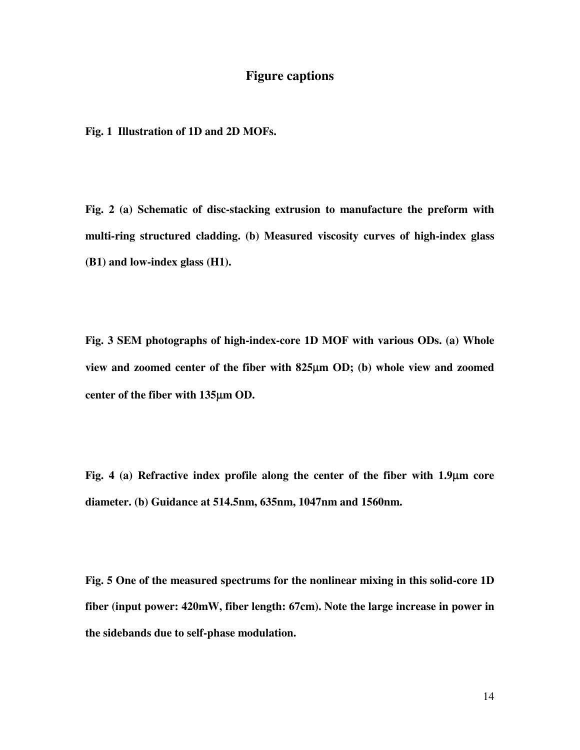### **Figure captions**

**Fig. 1 Illustration of 1D and 2D MOFs.**

**Fig. 2 (a) Schematic of disc-stacking extrusion to manufacture the preform with multi-ring structured cladding. (b) Measured viscosity curves of high-index glass (B1) and low-index glass (H1).**

**Fig. 3 SEM photographs of high-index-core 1D MOF with various ODs. (a) Whole view and zoomed center of the fiber with 825**µ**m OD; (b) whole view and zoomed center of the fiber with 135**µ**m OD.**

**Fig. 4 (a) Refractive index profile along the center of the fiber with 1.9**µ**m core diameter. (b) Guidance at 514.5nm, 635nm, 1047nm and 1560nm.** 

**Fig. 5 One of the measured spectrums for the nonlinear mixing in this solid-core 1D fiber (input power: 420mW, fiber length: 67cm). Note the large increase in power in the sidebands due to self-phase modulation.**